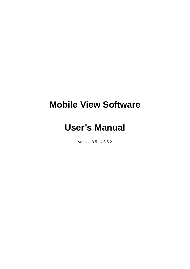# **Mobile View Software**

# **User's Manual**

Version 3.5.1 / 3.5.2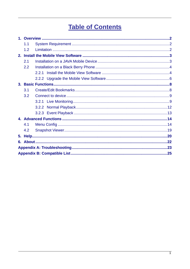# **Table of Contents**

| 1.1 |  |  |  |  |  |
|-----|--|--|--|--|--|
| 1.2 |  |  |  |  |  |
|     |  |  |  |  |  |
| 2.1 |  |  |  |  |  |
| 2.2 |  |  |  |  |  |
|     |  |  |  |  |  |
|     |  |  |  |  |  |
|     |  |  |  |  |  |
| 3.1 |  |  |  |  |  |
| 3.2 |  |  |  |  |  |
|     |  |  |  |  |  |
|     |  |  |  |  |  |
|     |  |  |  |  |  |
|     |  |  |  |  |  |
| 4.1 |  |  |  |  |  |
| 4.2 |  |  |  |  |  |
|     |  |  |  |  |  |
|     |  |  |  |  |  |
|     |  |  |  |  |  |
|     |  |  |  |  |  |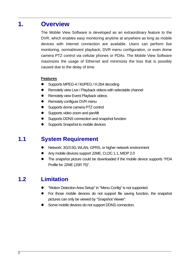## **1. Overview**

The Mobile View Software is developed as an extraordinary feature to the DVR, which enables easy monitoring anytime at anywhere as long as mobile devices with internet connection are available. Users can perform live monitoring, normal/event playback, DVR menu configuration, or even dome camera PTZ control via cellular phones or PDAs. The Mobile View Software maximizes the usage of Ethernet and minimizes the loss that is possibly caused due to the delay of time.

#### **Features**

- Supports MPEG-4 / MJPEG / H.264 decoding
- Remotely view Live / Playback videos with selectable channel
- Remotely view Event Playback videos
- Remotely configure DVR menu
- Supports dome camera PTZ control
- Supports video zoom and pan/tilt
- Supports DDNS connection and snapshot function
- Supports Snapshot to mobile devices

## **1.1 System Requirement**

- Network: 3G/3.5G, WLAN, GPRS, or higher network environment
- Any mobile devices support J2ME, CLDC 1.1, MIDP 2.0
- The snapshot picture could be downloaded if the mobile device supports "PDA Profile for J2ME (JSR 75)".

## **1.2 Limitation**

- "Motion Detection Area Setup" in "Menu Config" is not supported.
- For those mobile devices do not support file saving function, the snapshot pictures can only be viewed by "Snapshot Viewer".
- Some mobile devices do not support DDNS connection.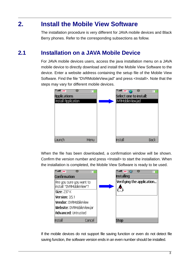## **2. Install the Mobile View Software**

The installation procedure is very different for JAVA mobile devices and Black Berry phones. Refer to the corresponding subsections as follow.

## **2.1 Installation on a JAVA Mobile Device**

For JAVA mobile devices users, access the java installation menu on a JAVA mobile device to directly download and install the Mobile View Software to the device. Enter a website address containing the setup file of the Mobile View Software. Find the file "DVRMobileView.jad" and press <Install>. Note that the steps may vary for different mobile devices.

| <b>Yull</b> JAK<br>Ο<br><b>Applications</b><br>Install Application |      | Y…ull jaa≤<br>Select one to install:<br>DVRMobileView.jad | о    |
|--------------------------------------------------------------------|------|-----------------------------------------------------------|------|
| Launch                                                             | Menu | <b>Install</b>                                            | Back |

When the file has been downloaded, a confirmation window will be shown. Confirm the version number and press <Install> to start the installation. When the installation is completed, the Mobile View Software is ready to be used.

| <b>Yull IAN</b><br>o                                  | с                         |
|-------------------------------------------------------|---------------------------|
| <b>Confirmation</b>                                   | Installing                |
| Are you sure you want to<br>linstall "DVRMobileView"? | Verifying the application |
| <b>Size: 237 K</b>                                    |                           |
| Version: 3.5.1                                        |                           |
| <b>Vendor: DVRMobileView</b>                          |                           |
| Website: DVRMobileView.jar                            |                           |
| Advanced: Untrusted                                   |                           |
| Install<br>Cancel                                     | Stop                      |

If the mobile devices do not support file saving function or even do not detect file saving function, the software version ends in an even number should be installed.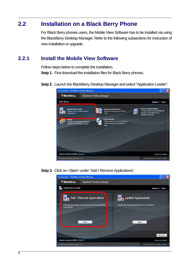## **2.2 Installation on a Black Berry Phone**

For Black Berry phones users, the Mobile View Software has to be installed via using the BlackBerry Desktop Manager. Refer to the following subsections for instruction of new installation or upgrade.

## **2.2.1 Install the Mobile View Software**

Follow steps below to complete the installation.

**Setp 1.** First download the installation files for Black Berry phones.

**Setp 2.** Launch the BlackBerry Desktop Manager and select "Application Loader".



**Setp 3.** Click on <Start> under "Add / Remove Applications".

| <sup>424</sup> Connected - BlackBerry Desktop Manager<br>$\sim$      |                                                                                     |                                                                                |                            |  |  |  |
|----------------------------------------------------------------------|-------------------------------------------------------------------------------------|--------------------------------------------------------------------------------|----------------------------|--|--|--|
| <sup>22</sup> BlackBerry <sub>®</sub>                                | BlackBerry® Desktop Manager                                                         |                                                                                |                            |  |  |  |
| <b>Application Loader</b>                                            |                                                                                     |                                                                                | Options $\tau$ Help $\tau$ |  |  |  |
| applications.                                                        | Add / Remove Applications<br>Add new applications to your device or remove existing | <b>Update Applications</b><br>Update the existing applications on your device. |                            |  |  |  |
|                                                                      | <b>Start</b>                                                                        | <b>Start</b>                                                                   |                            |  |  |  |
|                                                                      |                                                                                     |                                                                                | Main menu                  |  |  |  |
| <b>Check for updates</b><br>Device connected (PIN): 25709F27         |                                                                                     |                                                                                |                            |  |  |  |
| BlackBerryR Desktop Manager v4.6<br>@2008 Research In Motion Limited |                                                                                     |                                                                                |                            |  |  |  |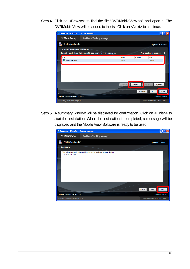**Setp 4.** Click on <Browse> to find the file "DVRMobileView.alx" and open it. The DVRMobileView will be added to the list. Click on <Next> to continue.



**Setp 5.** A summary window will be displayed for confirmation. Click on <Finish> to start the installation. When the installation is completed, a message will be displayed and the Mobile View Software is ready to be used.

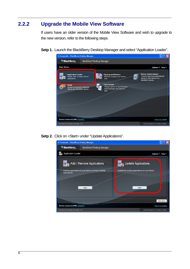## **2.2.2 Upgrade the Mobile View Software**

If users have an older version of the Mobile View Software and wish to upgrade to the new version, refer to the following steps.

**Setp 1.** Launch the BlackBerry Desktop Manager and select "Application Loader".



**Setp 2.** Click on <Start> under "Update Applications".

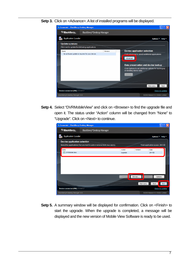**Setp 3.** Click on <Advance>. A list of installed programs will be displayed.

| <sup>122</sup> Connected - BlackBerry Desktop Manager<br>$    \square    \times$ |                             |         |                                                        |                                  |  |  |  |
|----------------------------------------------------------------------------------|-----------------------------|---------|--------------------------------------------------------|----------------------------------|--|--|--|
| <sup>2</sup> <sup>2</sup> BlackBerry <sub>®</sub>                                | BlackBerry® Desktop Manager |         |                                                        |                                  |  |  |  |
| <b>Application Loader</b>                                                        |                             |         | Options $\tau$ Help $\tau$                             |                                  |  |  |  |
| <b>Update summary</b>                                                            |                             |         |                                                        |                                  |  |  |  |
| Click next to update the following applications                                  |                             |         |                                                        |                                  |  |  |  |
| Name                                                                             |                             | Version | <b>Device application selection</b>                    |                                  |  |  |  |
| No software update is required for your device.                                  |                             |         | Click Advanced to select additional applications       |                                  |  |  |  |
|                                                                                  |                             |         | Advanced                                               |                                  |  |  |  |
|                                                                                  |                             |         |                                                        |                                  |  |  |  |
|                                                                                  |                             |         | Data preservation and device backup                    |                                  |  |  |  |
|                                                                                  |                             |         | Click Options to set additional options for backing up |                                  |  |  |  |
|                                                                                  |                             |         | or deleting device data.                               |                                  |  |  |  |
|                                                                                  |                             |         | Options                                                |                                  |  |  |  |
|                                                                                  |                             |         |                                                        |                                  |  |  |  |
|                                                                                  |                             |         |                                                        |                                  |  |  |  |
|                                                                                  |                             |         |                                                        | Main menu<br><b>Back</b>         |  |  |  |
| Device connected (PIN): 25709F27                                                 |                             |         |                                                        | Check for updates                |  |  |  |
| BlackBerryR Desktop Manager v4.6                                                 |                             |         |                                                        | @2008 Research In Motion Limited |  |  |  |

**Setp 4.** Select "DVRMobileView" and click on <Browse> to find the upgrade file and open it. The status under "Action" column will be changed from "None" to "Upgrade". Click on <Next> to continue.

| <sup>22</sup> Connected - BlackBerry Desktop Manager         |                                                                          |         |                     | m.                                      |      |  |
|--------------------------------------------------------------|--------------------------------------------------------------------------|---------|---------------------|-----------------------------------------|------|--|
| <sup>22</sup> BlackBerry <sub>®</sub>                        | BlackBerry® Desktop Manager                                              |         |                     |                                         |      |  |
| <b>Application Loader</b>                                    |                                                                          |         |                     | Options * Help *                        |      |  |
| <b>Device application selection</b>                          |                                                                          |         |                     |                                         |      |  |
|                                                              | Select the applications that you want to add or remove from your device. |         |                     | Total application space: 264 KB         |      |  |
| Name                                                         |                                                                          | Action  | Version             | Size                                    |      |  |
| <b>V</b> DVRMobileView                                       |                                                                          | Upgrade |                     | 264 KB                                  |      |  |
|                                                              |                                                                          | Details | Browse<br>Main menu | <b>Delete</b><br>Options<br><b>Back</b> | Next |  |
| Device connected (PIN): 25709F27<br><b>Check for updates</b> |                                                                          |         |                     |                                         |      |  |
| BlackBerryR Desktop Manager v4.6                             | @2008 Research In Motion Limited                                         |         |                     |                                         |      |  |

**Setp 5.** A summary window will be displayed for confirmation. Click on <Finish> to start the upgrade. When the upgrade is completed, a message will be displayed and the new version of Mobile View Software is ready to be used.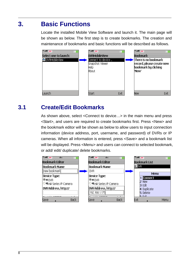# **3. Basic Functions**

Locate the installed Mobile View Software and launch it. The main page will be shown as below. The first step is to create bookmarks. The creation and maintenance of bookmarks and basic functions will be described as follows.



## **3.1 Create/Edit Bookmarks**

As shown above, select <Connect to device…> in the main menu and press <Start>, and users are required to create bookmarks first. Press <New> and the bookmark editor will be shown as below to allow users to input connection information (device address, port, username, and password) of DVRs or IP cameras. When all information is entered, press <Save> and a bookmark list will be displayed. Press <Menu> and users can connect to selected bookmark, or add/ edit/ duplicate/ delete bookmarks.

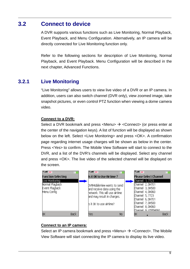## **3.2 Connect to device**

A DVR supports various functions such as Live Monitoring, Normal Playback, Event Playback, and Menu Configuration. Alternatively, an IP camera will be directly connected for Live Monitoring function only.

Refer to the following sections for description of Live Monitoring, Normal Playback, and Event Playback. Menu Configuration will be described in the next chapter, Advanced Functions.

## **3.2.1 Live Monitoring**

"Live Monitoring" allows users to view live video of a DVR or an IP camera. In addition, users can also switch channel (DVR only), view zoomed image, take snapshot pictures, or even control PTZ function when viewing a dome camera video.

#### **Connect to a DVR:**

Select a DVR bookmark and press <Menu>  $\rightarrow$  <Connect> (or press enter at the center of the navigation keys). A list of function will be displayed as shown below on the left. Select <Live Monitoring> and press <OK>. A confirmation page regarding internet usage charges will be shown as below in the center. Press <Yes> to confirm. The Mobile View Software will start to connect to the DVR, and a list of the DVR's channels will be displayed. Select any channel and press <OK>. The live video of the selected channel will be displayed on the screen.

| <b>T</b> all JANK<br><b>Function Selecting</b>                      | Y…ndi jawa<br>Is it OK to Use Airtime ?                                                                                                               | Y…ull jaa≤      | <b>Please Select Channel</b>                                                                                                                                  |      |
|---------------------------------------------------------------------|-------------------------------------------------------------------------------------------------------------------------------------------------------|-----------------|---------------------------------------------------------------------------------------------------------------------------------------------------------------|------|
| Live Monitoring<br>Normal Playback<br>Event Playback<br>Menu Config | DVRMobileView wants to send<br>and receive data using the<br>hetwork. This will use airtime<br>and may result in charges.<br>ls it OK to use airtime? | Channel 5, 7723 | Channel 1, 7723<br>Channel 2, DH701<br>Channel 3, DH500<br>Channel 4, DH060<br>Channel 6, DH701<br>Channel 7, DH500<br>Channel 8, DH060<br>Channel 9 UTPDH060 |      |
| 0K<br><b>Back</b>                                                   | No.<br>Yes                                                                                                                                            | ΟK              |                                                                                                                                                               | Back |

#### **Connect to an IP camera:**

Select an IP camera bookmark and press <Menu>  $\rightarrow$  <Connect>. The Mobile View Software will start connecting the IP camera to display its live video.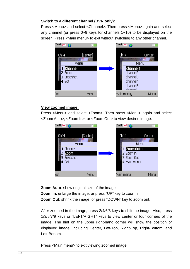#### **Switch to a different channel (DVR only):**

Press <Menu> and select <Channel>. Then press <Menu> again and select any channel (or press 0~9 keys for channels 1~10) to be displayed on the screen. Press <Main menu> to exit without switching to any other channel.



#### **View zoomed image:**

Press <Menu> and select <Zoom>. Then press <Menu> again and select <Zoom Auto>, <Zoom In>, or <Zoom Out> to view desired image.



**Zoom Auto**: show original size of the image. **Zoom In**: enlarge the image; or press "UP" key to zoom in. **Zoom Out**: shrink the image; or press "DOWN" key to zoom out.

After zoomed in the image, press 2/4/6/8 keys to shift the image. Also, press 1/3/5/7/9 keys or "LEFT/RIGHT" keys to view center or four corners of the image. The hint on the upper right-hand corner will show the position of displayed image, including Center, Left-Top, Right-Top, Right-Bottom, and Left-Bottom.

Press <Main menu> to exit viewing zoomed image.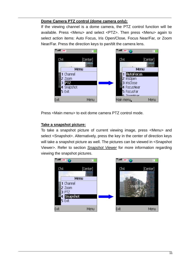#### **Dome Camera PTZ control (dome camera only):**

If the viewing channel is a dome camera, the PTZ control function will be available. Press <Menu> and select <PTZ>. Then press <Menu> again to select action items: Auto Focus, Iris Open/Close, Focus Near/Far, or Zoom Near/Far. Press the direction keys to pan/tilt the camera lens.



Press <Main menu> to exit dome camera PTZ control mode.

### **Take a snapshot picture:**

To take a snapshot picture of current viewing image, press <Menu> and select <Snapshot>. Alternatively, press the key in the center of direction keys will take a snapshot picture as well. The pictures can be viewed in <Snapshot Viewer>. Refer to section *Snapshot Viewer* for more information regarding viewing the snapshot pictures.

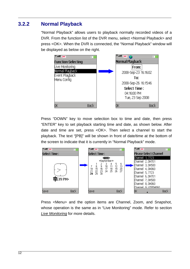## **3.2.2 Normal Playback**

"Normal Playback" allows users to playback normally recorded videos of a DVR. From the function list of the DVR menu, select <Normal Playback> and press <OK>. When the DVR is connected, the "Normal Playback" window will be displayed as below on the right.



Press "DOWN" key to move selection box to time and date, then press "ENTER" key to set playback starting time and date, as shown below. After date and time are set, press <OK>. Then select a channel to start the playback. The text "[PB]" will be shown in front of date/time at the bottom of the screen to indicate that it is currently in "Normal Playback" mode.



Press <Menu> and the option items are Channel, Zoom, and Snapshot, whose operation is the same as in "Live Monitoring" mode. Refer to section *Live Monitoring* for more details.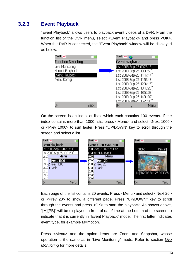## **3.2.3 Event Playback**

"Event Playback" allows users to playback event videos of a DVR. From the function list of the DVR menu, select <Event Playback> and press <OK>. When the DVR is connected, the "Event Playback" window will be displayed as below.



On the screen is an index of lists, which each contains 100 events. If the index contains more than 1000 lists, press <Menu> and select <Next 1000> or <Prev 1000> to surf faster. Press "UP/DOWN" key to scroll through the screen and select a list.



Each page of the list contains 20 events. Press <Menu> and select <Next 20> or <Prev 20> to show a different page. Press "UP/DOWN" key to scroll through the events and press <OK> to start the playback. As shown above, "[M][PB]" will be displayed in from of date/time at the bottom of the screen to indicate that it is currently in "Event Playback" mode. The first letter indicates event type, for example M=motion.

Press <Menu> and the option items are Zoom and Snapshot, whose operation is the same as in "Live Monitoring" mode. Refer to section *Live Monitoring* for more details.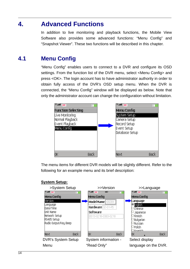## **4. Advanced Functions**

In addition to live monitoring and playback functions, the Mobile View Software also provides some advanced functions: "Menu Config" and "Snapshot Viewer". These two functions will be described in this chapter.

## **4.1 Menu Config**

"Menu Config" enables users to connect to a DVR and configure its OSD settings. From the function list of the DVR menu, select <Menu Config> and press <OK>. The login account has to have administrator authority in order to obtain fully access of the DVR's OSD setup menu. When the DVR is connected, the "Menu Config" window will be displayed as below. Note that only the administrator account can change the configuration without limitation.



The menu items for different DVR models will be slightly different. Refer to the following for an example menu and its brief description:



### **System Setup:**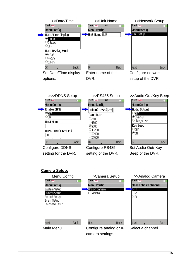

Configure DDNS setting for the DVR. Configure RS485 setting of the DVR.

Set Audio Out/ Key Beep of the DVR.

#### **Camera Setup:**

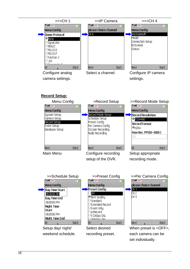



setup of the DVR.

Setup appropriate recording mode.

**Back** 

30

OK.

**Back** 

Main Menu Configure recording

**Next** 

**Back** 

**Next**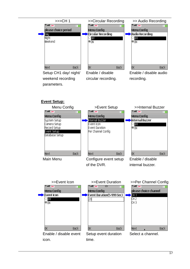

circular recording.

weekend recording parameters.

recording.

### **Event Setup:**



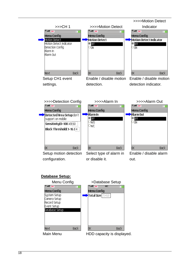

Setup CH1 event settings.

Enable / disable motion detection.

Enable / disable motion detection indicator.



**Database Setup:**



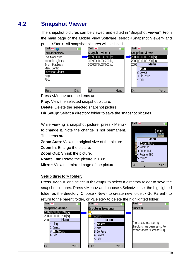## **4.2 Snapshot Viewer**

The snapshot pictures can be viewed and edited in "Snapshot Viewer". From the main page of the Mobile View Software, select <Snapshot Viewer> and press <Start>. All snapshot pictures will be listed.



Press <Menu> and the items are:

**Play**: View the selected snapshot picture.

**Delete**: Delete the selected snapshot picture.

**Dir Setup**: Select a directory folder to save the snapshot pictures.

While viewing a snapshot picture, press <Menu> to change it. Note the change is not permanent. The items are:

**Zoom Auto**: View the original size of the picture.

**Zoom In**: Enlarge the picture.

**Zoom Out**: Shrink the picture.

**Rotate 180**: Rotate the picture in 180°.

**Mirror**: View the mirror image of the picture.



#### **Setup directory folder:**

Press <Menu> and select <Dir Setup> to select a directory folder to save the snapshot pictures. Press <Menu> and choose <Select> to set the highlighted folder as the directory. Choose <New> to create new folder, <Go Parent> to return to the parent folder, or <Delete> to delete the highlighted folder.

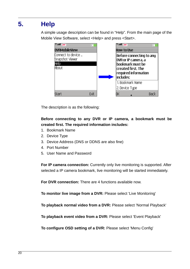# **5. Help**

A simple usage description can be found in "Help". From the main page of the Mobile View Software, select <Help> and press <Start>.



The description is as the following:

### **Before connecting to any DVR or IP camera, a bookmark must be created first. The required information includes:**

- 1. Bookmark Name
- 2. Device Type
- 3. Device Address (DNS or DDNS are also fine)
- 4. Port Number
- 5. User Name and Password

**For IP camera connection:** Currently only live monitoring is supported. After selected a IP camera bookmark, live monitoring will be started immediately.

**For DVR connection:** There are 4 functions available now.

**To monitor live image from a DVR:** Please select 'Live Monitoring'

**To playback normal video from a DVR:** Please select 'Normal Playback'

**To playback event video from a DVR:** Please select 'Event Playback'

**To configure OSD setting of a DVR:** Please select 'Menu Config'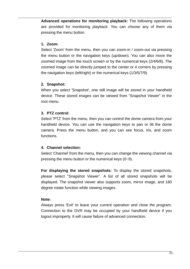**Advanced operations for monitoring playback:** The following operations are provided for monitoring playback. You can choose any of them via pressing the menu button.

#### **1. Zoom:**

Select 'Zoom' from the menu, then you can zoom-in / zoom-out via pressing the menu button or the navigation keys (up/down). You can also move the zoomed image from the touch screen or by the numerical keys (2/4/6/8). The zoomed image can be directly jumped to the center or 4 corners by pressing the navigation keys (left/right) or the numerical keys (1/3/5/7/9).

#### **2. Snapshot:**

When you select 'Snapshot', one still image will be stored in your handheld device. These stored images can be viewed from "Snapshot Viewer" in the root menu.

### **3. PTZ control:**

Select 'PTZ' from the menu, then you can control the dome camera from your handheld device. You can use the navigation keys to pan or tilt the dome camera. Press the menu button, and you can see focus, iris, and zoom functions.

### **4. Channel selection:**

Select 'Channel' from the menu, then you can change the viewing channel via pressing the menu button or the numerical keys (0~9).

**For displaying the stored snapshots:** To display the stored snapshots, please select ''Snapshot Viewer". A list of all stored snapshots will be displayed. The snapshot viewer also supports zoom, mirror image, and 180 degree rotate function while viewing images.

### **Note:**

Always press 'Exit' to leave your current operation and close the program. Connection to the DVR may be occupied by your handheld device if you logout improperly. It will cause failure of advanced connection.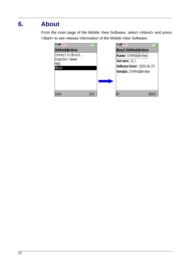# **6. About**

From the main page of the Mobile View Software, select <About> and press <Start> to see release information of the Mobile View Software.

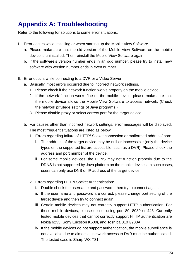# **Appendix A: Troubleshooting**

Refer to the following for solutions to some error situations.

- I. Error occurs while installing or when starting up the Mobile View Software
	- a. Please make sure that the old version of the Mobile View Software on the mobile device is uninstalled. Then reinstall the Mobile View Software again.
	- b. If the software's version number ends in an odd number, please try to install new software with version number ends in even number.
- II. Error occurs while connecting to a DVR or a Video Server
	- a. Basically, most errors occurred due to incorrect network settings.
		- 1. Please check if the network function works properly on the mobile device.
		- 2. If the network function works fine on the mobile device, please make sure that the mobile device allows the Mobile View Software to access network. (Check the network privilege settings of Java programs.)
		- 3. Please disable proxy or select correct port for the target device.
	- b. For causes other than incorrect network settings, error messages will be displayed. The most frequent situations are listed as below.
		- 1. Errors regarding failure of HTTP/ Socket connection or malformed address/ port:
			- i. The address of the target device may be null or inaccessible (only the device types on the supported list are accessible, such as a DVR). Please check the address and port number of the device.
			- ii. For some mobile devices, the DDNS may not function properly due to the DDNS is not supported by Java platform on the mobile devices. In such cases, users can only use DNS or IP address of the target device.
		- 2. Errors regarding HTTP/ Socket Authentication:
			- i. Double check the username and password, then try to connect again.
			- ii. If the username and password are correct, please change port setting of the target device and then try to connect again.
			- iii. Certain mobile devices may not correctly support HTTP authentication. For these mobile devices, please do not using port 80, 8080 or 443. Currently tested mobile devices that cannot correctly support HTTP authentication are Nokia 6233, Sony Ericsson K600i, and Toshiba 810T/908A.
			- iv. If the mobile devices do not support authentication, the mobile surveillance is not available due to almost all network access to DVR must be authenticated. The tested case is Sharp WX-T81.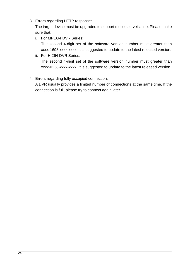3. Errors regarding HTTP response:

The target device must be upgraded to support mobile surveillance. Please make sure that:

i. For MPEG4 DVR Series:

The second 4-digit set of the software version number must greater than xxxx-1698-xxxx-xxxx. It is suggested to update to the latest released version.

- ii. For H.264 DVR Series: The second 4-digit set of the software version number must greater than xxxx-0138-xxxx-xxxx. It is suggested to update to the latest released version.
- 4. Errors regarding fully occupied connection:

A DVR usually provides a limited number of connections at the same time. If the connection is full, please try to connect again later.